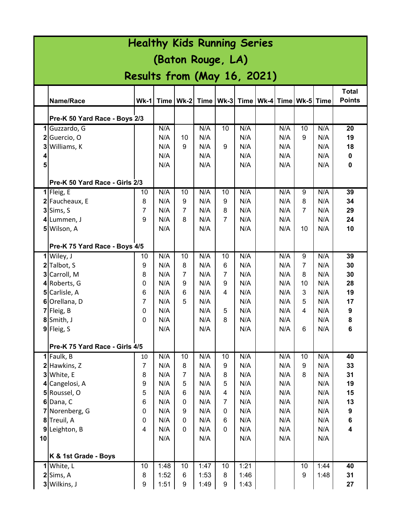| <b>Healthy Kids Running Series</b> |                                |                |            |                  |                                                              |                     |            |  |            |                |            |                         |
|------------------------------------|--------------------------------|----------------|------------|------------------|--------------------------------------------------------------|---------------------|------------|--|------------|----------------|------------|-------------------------|
| (Baton Rouge, LA)                  |                                |                |            |                  |                                                              |                     |            |  |            |                |            |                         |
|                                    |                                |                |            |                  |                                                              |                     |            |  |            |                |            |                         |
| Results from (May 16, 2021)        |                                |                |            |                  |                                                              |                     |            |  |            |                |            |                         |
|                                    |                                |                |            |                  |                                                              |                     |            |  |            |                |            | <b>Total</b>            |
|                                    | Name/Race                      | <b>Wk-11</b>   |            |                  | Time   Wk-2   Time   Wk-3   Time   Wk-4   Time   Wk-5   Time |                     |            |  |            |                |            | <b>Points</b>           |
|                                    | Pre-K 50 Yard Race - Boys 2/3  |                |            |                  |                                                              |                     |            |  |            |                |            |                         |
|                                    | 1 Guzzardo, G                  |                | N/A        |                  | N/A                                                          | 10                  | N/A        |  | N/A        | 10             | N/A        | 20                      |
|                                    | 2 Guercio, O                   |                | N/A        | 10               | N/A                                                          |                     | N/A        |  | N/A        | 9              | N/A        | 19                      |
| 3 <sup>1</sup>                     | Williams, K                    |                | N/A        | 9                | N/A                                                          | 9                   | N/A        |  | N/A        |                | N/A        | 18                      |
| 4                                  |                                |                | N/A        |                  | N/A                                                          |                     | N/A        |  | N/A        |                | N/A        | 0                       |
| 5                                  |                                |                | N/A        |                  | N/A                                                          |                     | N/A        |  | N/A        |                | N/A        | 0                       |
|                                    | Pre-K 50 Yard Race - Girls 2/3 |                |            |                  |                                                              |                     |            |  |            |                |            |                         |
|                                    | $1$ Fleig, E                   | 10             | N/A        | 10               | N/A                                                          | 10                  | N/A        |  | N/A        | 9              | N/A        | 39                      |
|                                    | 2 Faucheaux, E                 | 8              | N/A        | 9                | N/A                                                          | 9                   | N/A        |  | N/A        | 8              | N/A        | 34                      |
|                                    | $3$ Sims, S                    | 7              | N/A        | $\overline{7}$   | N/A                                                          | 8                   | N/A        |  | N/A        | 7              | N/A        | 29                      |
|                                    | 4 Lummen, J                    | 9              | N/A        | 8                | N/A                                                          | $\overline{7}$      | N/A        |  | N/A        |                | N/A        | 24                      |
|                                    | 5 Wilson, A                    |                | N/A        |                  | N/A                                                          |                     | N/A        |  | N/A        | 10             | N/A        | 10                      |
|                                    |                                |                |            |                  |                                                              |                     |            |  |            |                |            |                         |
|                                    | Pre-K 75 Yard Race - Boys 4/5  |                |            |                  |                                                              |                     |            |  |            |                |            |                         |
|                                    | 1 Wiley, J                     | 10             | N/A        | 10               | N/A                                                          | 10                  | N/A        |  | N/A        | 9              | N/A        | 39                      |
|                                    | 2 Talbot, S                    | 9              | N/A        | 8                | N/A                                                          | 6                   | N/A        |  | N/A        | $\overline{7}$ | N/A        | 30                      |
|                                    | 3 Carroll, M                   | 8              | N/A        | 7                | N/A                                                          | 7                   | N/A        |  | N/A        | 8              | N/A        | 30                      |
|                                    | 4 Roberts, G<br>5 Carlisle, A  | 0              | N/A<br>N/A | 9<br>6           | N/A<br>N/A                                                   | 9<br>4              | N/A<br>N/A |  | N/A<br>N/A | 10<br>3        | N/A<br>N/A | 28<br>19                |
|                                    | 6 Orellana, D                  | 6<br>7         | N/A        | 5                | N/A                                                          |                     | N/A        |  | N/A        | 5              | N/A        | 17                      |
|                                    | $7$ Fleig, B                   | 0              | N/A        |                  | N/A                                                          | 5                   | N/A        |  | N/A        | 4              | N/A        | 9                       |
|                                    | 8 Smith, J                     | 0              | N/A        |                  | N/A                                                          | 8                   | N/A        |  | N/A        |                | N/A        | 8                       |
|                                    | $9$ Fleig, S                   |                | N/A        |                  | N/A                                                          |                     | N/A        |  | N/A        | 6              | N/A        | 6                       |
|                                    |                                |                |            |                  |                                                              |                     |            |  |            |                |            |                         |
|                                    | Pre-K 75 Yard Race - Girls 4/5 |                |            |                  |                                                              |                     |            |  |            |                |            |                         |
|                                    | 1 Faulk, B                     | 10             | N/A        | 10               | N/A                                                          | 10                  | N/A        |  | N/A        | 10             | N/A        | 40                      |
|                                    | 2 Hawkins, Z                   | $\overline{7}$ | N/A        | 8                | N/A                                                          | 9                   | N/A        |  | N/A        | 9              | N/A        | 33                      |
|                                    | 3 White, E                     | 8              | N/A        | $\overline{7}$   | N/A                                                          | 8                   | N/A        |  | N/A        | 8              | N/A        | 31                      |
|                                    | 4 Cangelosi, A                 | 9              | N/A        | 5                | N/A                                                          | 5                   | N/A        |  | N/A        |                | N/A        | 19                      |
|                                    | 5 Roussel, O<br>$6$ Dana, C    | 5<br>6         | N/A<br>N/A | 6<br>$\mathbf 0$ | N/A<br>N/A                                                   | 4<br>$\overline{7}$ | N/A<br>N/A |  | N/A<br>N/A |                | N/A<br>N/A | 15<br>13                |
|                                    | 7 Norenberg, G                 | 0              | N/A        | 9                | N/A                                                          | $\mathbf{0}$        | N/A        |  | N/A        |                | N/A        | 9                       |
|                                    | 8 Treuil, A                    | 0              | N/A        | 0                | N/A                                                          | 6                   | N/A        |  | N/A        |                | N/A        | 6                       |
|                                    | 9 Leighton, B                  | 4              | N/A        | $\mathbf{0}$     | N/A                                                          | $\mathbf{0}$        | N/A        |  | N/A        |                | N/A        | $\overline{\mathbf{4}}$ |
| 10                                 |                                |                | N/A        |                  | N/A                                                          |                     | N/A        |  | N/A        |                | N/A        |                         |
|                                    |                                |                |            |                  |                                                              |                     |            |  |            |                |            |                         |
|                                    | K & 1st Grade - Boys           |                |            |                  |                                                              |                     |            |  |            |                |            |                         |
|                                    | 1 White, L                     | 10             | 1:48       | 10               | 1:47                                                         | $\overline{10}$     | 1:21       |  |            | 10             | 1:44       | 40                      |
|                                    | $2$ Sims, A                    | 8              | 1:52       | 6                | 1:53                                                         | 8                   | 1:46       |  |            | 9              | 1:48       | 31                      |
|                                    | 3 Wilkins, J                   | 9              | 1:51       | 9                | 1:49                                                         | 9                   | 1:43       |  |            |                |            | 27                      |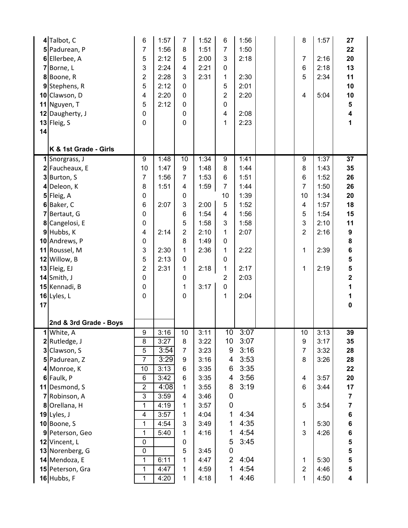|    | 4 Talbot, C                 | 6                | 1:57 | $\overline{7}$          | 1:52 | 6                | 1:56 |  | 8                                 | 1:57 | 27                      |
|----|-----------------------------|------------------|------|-------------------------|------|------------------|------|--|-----------------------------------|------|-------------------------|
|    | 5 Padurean, P               | 7                | 1:56 | 8                       | 1:51 | $\overline{7}$   | 1:50 |  |                                   |      | 22                      |
|    | 6 Ellerbee, A               | 5                | 2:12 | 5                       | 2:00 | 3                | 2:18 |  | $\overline{7}$                    | 2:16 | 20                      |
|    | 7 Borne, L                  | 3                | 2:24 | $\overline{\mathbf{4}}$ | 2:21 | $\pmb{0}$        |      |  | $6\phantom{1}6$                   | 2:18 | 13                      |
|    | 8Boone, R                   | $\overline{2}$   | 2:28 | 3                       | 2:31 | 1                | 2:30 |  | 5                                 | 2:34 | 11                      |
|    | 9 Stephens, R               | 5                | 2:12 | $\mathbf 0$             |      | 5                | 2:01 |  |                                   |      | 10                      |
|    | 10 Clawson, D               | 4                | 2:20 | 0                       |      | $\overline{2}$   | 2:20 |  | $\overline{4}$                    | 5:04 | 10                      |
|    | 11 Nguyen, T                | 5                | 2:12 | 0                       |      | 0                |      |  |                                   |      | 5                       |
|    | 12 Daugherty, J             | 0                |      | 0                       |      | 4                | 2:08 |  |                                   |      | $\overline{\mathbf{4}}$ |
|    | 13 Fleig, S                 | 0                |      | 0                       |      | 1                | 2:23 |  |                                   |      | 1                       |
| 14 |                             |                  |      |                         |      |                  |      |  |                                   |      |                         |
|    |                             |                  |      |                         |      |                  |      |  |                                   |      |                         |
|    | K & 1st Grade - Girls       |                  |      |                         |      |                  |      |  |                                   |      |                         |
|    | 1 Snorgrass, J              | $\overline{9}$   | 1:48 | $\overline{10}$<br>9    | 1:34 | 9                | 1:41 |  | $\overline{9}$                    | 1:37 | $\overline{37}$         |
|    | 2 Faucheaux, E              | 10               | 1:47 |                         | 1:48 | 8                | 1:44 |  | 8                                 | 1:43 | 35                      |
|    | 3 Burton, S                 | $\overline{7}$   | 1:56 | $\overline{7}$          | 1:53 | 6                | 1:51 |  | $6\phantom{1}6$<br>$\overline{7}$ | 1:52 | 26                      |
|    | 4 Deleon, K                 | 8                | 1:51 | 4                       | 1:59 | $\overline{7}$   | 1:44 |  |                                   | 1:50 | 26                      |
|    | $5$ Fleig, A                | 0                |      | 0                       |      | 10               | 1:39 |  | 10                                | 1:34 | 20                      |
|    | 6 Baker, C                  | 6                | 2:07 | 3                       | 2:00 | 5                | 1:52 |  | $\overline{\mathbf{4}}$           | 1:57 | 18                      |
|    | 7 Bertaut, G                | 0                |      | 6                       | 1:54 | 4                | 1:56 |  | 5                                 | 1:54 | 15                      |
|    | 8 Cangelosi, E              | 0                |      | 5                       | 1:58 | 3                | 1:58 |  | $\mathbf{3}$                      | 2:10 | 11                      |
|    | 9 Hubbs, K                  | 4                | 2:14 | $\overline{2}$          | 2:10 | 1                | 2:07 |  | $\overline{2}$                    | 2:16 | 9                       |
|    | 10 Andrews, P               | 0                |      | 8                       | 1:49 | $\pmb{0}$        |      |  |                                   |      | 8                       |
|    | 11 Roussel, M               | 3                | 2:30 | 1                       | 2:36 | 1                | 2:22 |  | $\mathbf{1}$                      | 2:39 | 6                       |
|    | 12 Willow, B                | 5                | 2:13 | $\mathbf 0$             |      | $\mathbf 0$      |      |  |                                   |      | 5                       |
|    | $13$ Fleig, EJ              | 2                | 2:31 | 1                       | 2:18 | 1                | 2:17 |  | 1                                 | 2:19 | 5                       |
|    |                             |                  |      |                         |      |                  |      |  |                                   |      |                         |
|    | $14$ Smith, J               | 0                |      | 0                       |      | $\overline{2}$   | 2:03 |  |                                   |      | $\overline{\mathbf{2}}$ |
|    | 15 Kennadi, B               | 0                |      | 1                       | 3:17 | 0                |      |  |                                   |      | 1                       |
|    | 16 Lyles, L                 | 0                |      | 0                       |      | 1                | 2:04 |  |                                   |      | 1                       |
| 17 |                             |                  |      |                         |      |                  |      |  |                                   |      | $\mathbf 0$             |
|    |                             |                  |      |                         |      |                  |      |  |                                   |      |                         |
|    | 2nd & 3rd Grade - Boys      | $\boldsymbol{9}$ | 3:16 | 10                      | 3:11 | 10               | 3:07 |  | 10                                | 3:13 | 39                      |
|    | 1 White, A<br>2 Rutledge, J | 8                | 3:27 | 8                       | 3:22 | 10               | 3:07 |  | 9                                 | 3:17 | 35                      |
|    | 3 Clawson, S                | 5                | 3:54 | $\overline{7}$          | 3:23 | 9                | 3:16 |  | $\overline{7}$                    | 3:32 | 28                      |
|    | 5 Padurean, Z               | 7                | 3:29 | 9                       | 3:16 | 4                | 3:53 |  | 8                                 | 3:26 | 28                      |
|    | 4 Monroe, K                 | 10               | 3:13 | 6                       | 3:35 | 6                | 3:35 |  |                                   |      | 22                      |
|    | 6 Faulk, P                  | 6                | 3:42 | 6                       | 3:35 | 4                | 3:56 |  | 4                                 | 3:57 | 20                      |
|    | 11 Desmond, S               | $\overline{2}$   | 4:08 | 1                       | 3:55 | 8                | 3:19 |  | $6\phantom{1}6$                   | 3:44 | 17                      |
|    | 7 Robinson, A               | 3                | 3:59 | $\overline{\mathbf{4}}$ | 3:46 | $\boldsymbol{0}$ |      |  |                                   |      | $\overline{\mathbf{7}}$ |
|    | 8 Orellana, H               | $\mathbf 1$      | 4:19 | 1                       | 3:57 | $\pmb{0}$        |      |  | $\sqrt{5}$                        | 3:54 | $\overline{\mathbf{7}}$ |
|    | $19$ Lyles, J               | 4                | 3:57 | 1                       | 4:04 | 1                | 4:34 |  |                                   |      | 6                       |
|    | $10$ Boone, S               | 1                | 4:54 | 3                       | 3:49 | 1                | 4:35 |  | $\mathbf{1}$                      | 5:30 | 6                       |
|    | 9 Peterson, Geo             | 1                | 5:40 | 1                       | 4:16 | 1                | 4:54 |  | 3                                 | 4:26 | 6                       |
|    | 12 Vincent, L               | $\pmb{0}$        |      | 0                       |      | 5                | 3:45 |  |                                   |      | 5                       |
|    | 13 Norenberg, G             | $\overline{0}$   |      | 5                       | 3:45 | $\mathbf 0$      |      |  |                                   |      | 5                       |
|    | 14 Mendoza, E               | $\mathbf 1$      | 6:11 | 1                       | 4:47 | $\overline{2}$   | 4:04 |  | 1                                 | 5:30 | 5                       |
|    | 15 Peterson, Gra            | $\mathbf{1}$     | 4:47 | 1                       | 4:59 | 1                | 4:54 |  | $\overline{c}$                    | 4:46 | 5                       |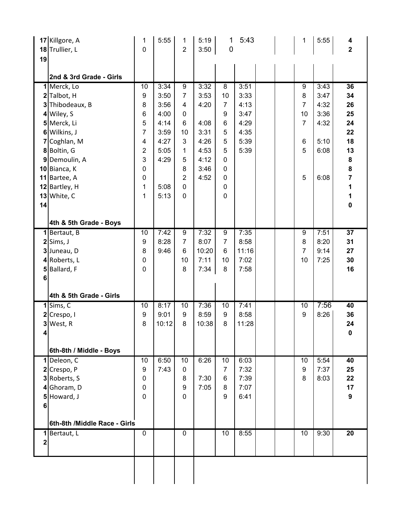|             | 17 Killgore, A<br>18 Trullier, L | 1<br>$\mathbf 0$    | 5:55         | 1<br>$\overline{2}$ | 5:19<br>3:50 | 1<br>0           | 5:43         |  | 1              | 5:55         | 4<br>$\overline{\mathbf{2}}$ |
|-------------|----------------------------------|---------------------|--------------|---------------------|--------------|------------------|--------------|--|----------------|--------------|------------------------------|
| 19          |                                  |                     |              |                     |              |                  |              |  |                |              |                              |
|             |                                  |                     |              |                     |              |                  |              |  |                |              |                              |
|             | 2nd & 3rd Grade - Girls          |                     |              |                     |              |                  |              |  |                |              |                              |
|             | 1 Merck, Lo                      | 10                  | 3:34         | $\overline{9}$      | 3:32         | $\overline{8}$   | 3:51         |  | $\overline{9}$ | 3:43         | $\overline{36}$              |
|             | 2 Talbot, H                      | 9                   | 3:50         | $\overline{7}$      | 3:53         | 10               | 3:33         |  | 8              | 3:47         | 34                           |
|             | 3 Thibodeaux, B                  | 8                   | 3:56         | 4                   | 4:20         | $\overline{7}$   | 4:13         |  | $\overline{7}$ | 4:32         | 26                           |
|             | 4 Wiley, S                       | 6                   | 4:00         | $\mathbf 0$         |              | 9                | 3:47         |  | 10             | 3:36         | 25                           |
|             | 5 Merck, Li                      | 5<br>$\overline{7}$ | 4:14         | 6                   | 4:08         | $\,6$            | 4:29         |  | $\overline{7}$ | 4:32         | 24                           |
|             | 6 Wilkins, J                     |                     | 3:59         | 10<br>3             | 3:31         | 5                | 4:35         |  |                |              | 22                           |
|             | 7 Coghlan, M                     | 4                   | 4:27<br>5:05 | $\mathbf{1}$        | 4:26<br>4:53 | 5<br>5           | 5:39<br>5:39 |  | 6<br>5         | 5:10<br>6:08 | 18<br>13                     |
|             | 8 Boltin, G                      | 2<br>3              | 4:29         | 5                   | 4:12         | $\mathbf 0$      |              |  |                |              |                              |
|             | 9 Demoulin, A<br>10 Bianca, K    | $\pmb{0}$           |              | 8                   | 3:46         | $\mathbf 0$      |              |  |                |              | 8<br>8                       |
|             | 11 Bartee, A                     | $\pmb{0}$           |              | $\overline{2}$      | 4:52         | $\mathbf 0$      |              |  | 5              | 6:08         | 7                            |
|             | 12 Bartley, H                    | 1                   | 5:08         | $\overline{0}$      |              | $\pmb{0}$        |              |  |                |              | 1                            |
|             | $13$ White, C                    | 1                   | 5:13         | $\overline{0}$      |              | 0                |              |  |                |              | 1                            |
| 14          |                                  |                     |              |                     |              |                  |              |  |                |              | $\mathbf 0$                  |
|             |                                  |                     |              |                     |              |                  |              |  |                |              |                              |
|             | 4th & 5th Grade - Boys           |                     |              |                     |              |                  |              |  |                |              |                              |
|             | 1 Bertaut, B                     | 10                  | 7:42         | 9                   | 7:32         | 9                | 7:35         |  | 9              | 7:51         | 37                           |
|             | $2$ Sims, J                      | 9                   | 8:28         | $\overline{7}$      | 8:07         | $\overline{7}$   | 8:58         |  | 8              | 8:20         | 31                           |
|             | 3 Juneau, D                      | $\bf 8$             | 9:46         | $6\phantom{1}$      | 10:20        | 6                | 11:16        |  | $\overline{7}$ | 9:14         | 27                           |
|             | 4 Roberts, L                     | $\pmb{0}$           |              | 10                  | 7:11         | 10               | 7:02         |  | 10             | 7:25         | 30                           |
|             | 5 Ballard, F                     | 0                   |              | 8                   | 7:34         | 8                | 7:58         |  |                |              | 16                           |
| $\bf 6$     |                                  |                     |              |                     |              |                  |              |  |                |              |                              |
|             | 4th & 5th Grade - Girls          |                     |              |                     |              |                  |              |  |                |              |                              |
|             | $1$ Sims, C                      | 10                  | 8:17         | 10                  | 7:36         | 10               | 7:41         |  | 10             | 7:56         | 40                           |
|             | $2$ Crespo, I                    | $\boldsymbol{9}$    | 9:01         | $\boldsymbol{9}$    | 8:59         | $\boldsymbol{9}$ | 8:58         |  | 9              | 8:26         | 36                           |
|             | 3 West, R                        | 8                   | 10:12        | 8                   | 10:38        | 8                | 11:28        |  |                |              | 24                           |
| $\vert$     |                                  |                     |              |                     |              |                  |              |  |                |              | $\mathbf 0$                  |
|             | 6th-8th / Middle - Boys          |                     |              |                     |              |                  |              |  |                |              |                              |
|             | 1 Deleon, C                      | 10                  | 6:50         | 10                  | 6:26         | 10               | 6:03         |  | 10             | 5:54         | 40                           |
|             | 2 Crespo, P                      | 9                   | 7:43         | $\pmb{0}$           |              | $\overline{7}$   | 7:32         |  | 9              | 7:37         | 25                           |
|             | 3 Roberts, S                     | $\pmb{0}$           |              | 8                   | 7:30         | 6                | 7:39         |  | 8              | 8:03         | 22                           |
|             | 4 Ghoram, D                      | $\pmb{0}$           |              | 9                   | 7:05         | 8                | 7:07         |  |                |              | 17                           |
| 5           | Howard, J                        | $\mathbf 0$         |              | $\overline{0}$      |              | 9                | 6:41         |  |                |              | $\boldsymbol{9}$             |
| 6           |                                  |                     |              |                     |              |                  |              |  |                |              |                              |
|             |                                  |                     |              |                     |              |                  |              |  |                |              |                              |
|             | 6th-8th /Middle Race - Girls     | $\mathbf 0$         |              | $\mathbf 0$         |              | 10               | 8:55         |  | 10             | 9:30         | $\overline{20}$              |
| $\mathbf 2$ | 1 Bertaut, L                     |                     |              |                     |              |                  |              |  |                |              |                              |
|             |                                  |                     |              |                     |              |                  |              |  |                |              |                              |
|             |                                  |                     |              |                     |              |                  |              |  |                |              |                              |
|             |                                  |                     |              |                     |              |                  |              |  |                |              |                              |
|             |                                  |                     |              |                     |              |                  |              |  |                |              |                              |